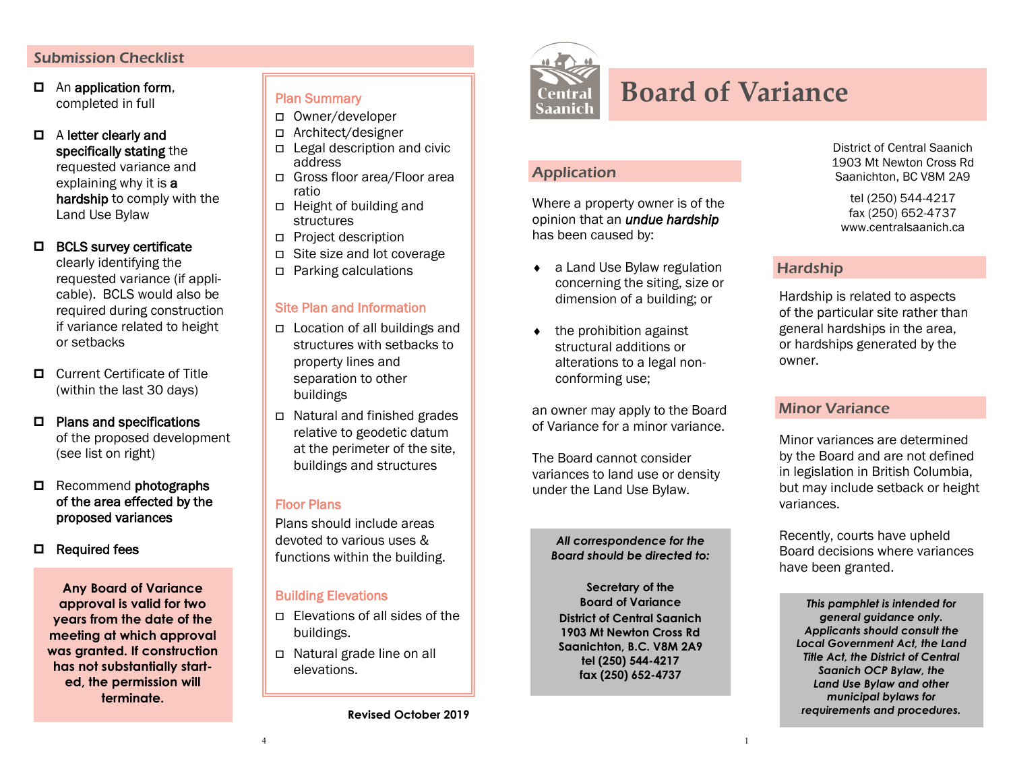#### Submission Checklist

- An application form, completed in full
- A letter clearly and specifically stating the requested variance and explaining why it is **a** hardship to comply with the Land Use Bylaw

# □ BCLS survey certificate

clearly identifying the requested variance (if applicable). BCLS would also be required during construction if variance related to height or setbacks

- Current Certificate of Title (within the last 30 days)
- □ Plans and specifications of the proposed development (see list on right)
- Recommend photographs of the area effected by the proposed variances
- □ Required fees

**Any Board of Variance approval is valid for two years from the date of the meeting at which approval was granted. If construction has not substantially started, the permission will terminate.** 

## Plan Summary

- Owner/developer
- Architect/designer
- Legal description and civic address
- Gross floor area/Floor area ratio
- Height of building and structures
- Project description
- Site size and lot coverage
- Parking calculations

#### Site Plan and Information

- □ Location of all buildings and structures with setbacks to property lines and separation to other buildings
- Natural and finished grades relative to geodetic datum at the perimeter of the site, buildings and structures

## Floor Plans

Plans should include areas devoted to various uses & functions within the building.

#### Building Elevations

- $\Box$  Elevations of all sides of the buildings.
- Natural grade line on all elevations.

**Revised October 2019**



Application

Where a property owner is of the opinion that an *undue hardship* 

◆ a Land Use Bylaw regulation concerning the siting, size or dimension of a building; or

 the prohibition against structural additions or alterations to a legal non-

an owner may apply to the Board of Variance for a minor variance.

> *All correspondence for the Board should be directed to:*

**Secretary of the Board of Variance District of Central Saanich 1903 Mt Newton Cross Rd Saanichton, B.C. V8M 2A9 tel (250) 544-4217 fax (250) 652-4737**

conforming use;

The Board cannot consider variances to land use or density under the Land Use Bylaw.

has been caused by:

# **Board of Variance**

District of Central Saanich 1903 Mt Newton Cross Rd Saanichton, BC V8M 2A9

tel (250) 544-4217 fax (250) 652-4737 www.centralsaanich.ca

# Hardship

Hardship is related to aspects of the particular site rather than general hardships in the area, or hardships generated by the owner.

#### Minor Variance

Minor variances are determined by the Board and are not defined in legislation in British Columbia, but may include setback or height variances.

Recently, courts have upheld Board decisions where variances have been granted.

*This pamphlet is intended for general guidance only. Applicants should consult the Local Government Act, the Land Title Act, the District of Central Saanich OCP Bylaw, the Land Use Bylaw and other municipal bylaws for requirements and procedures.*